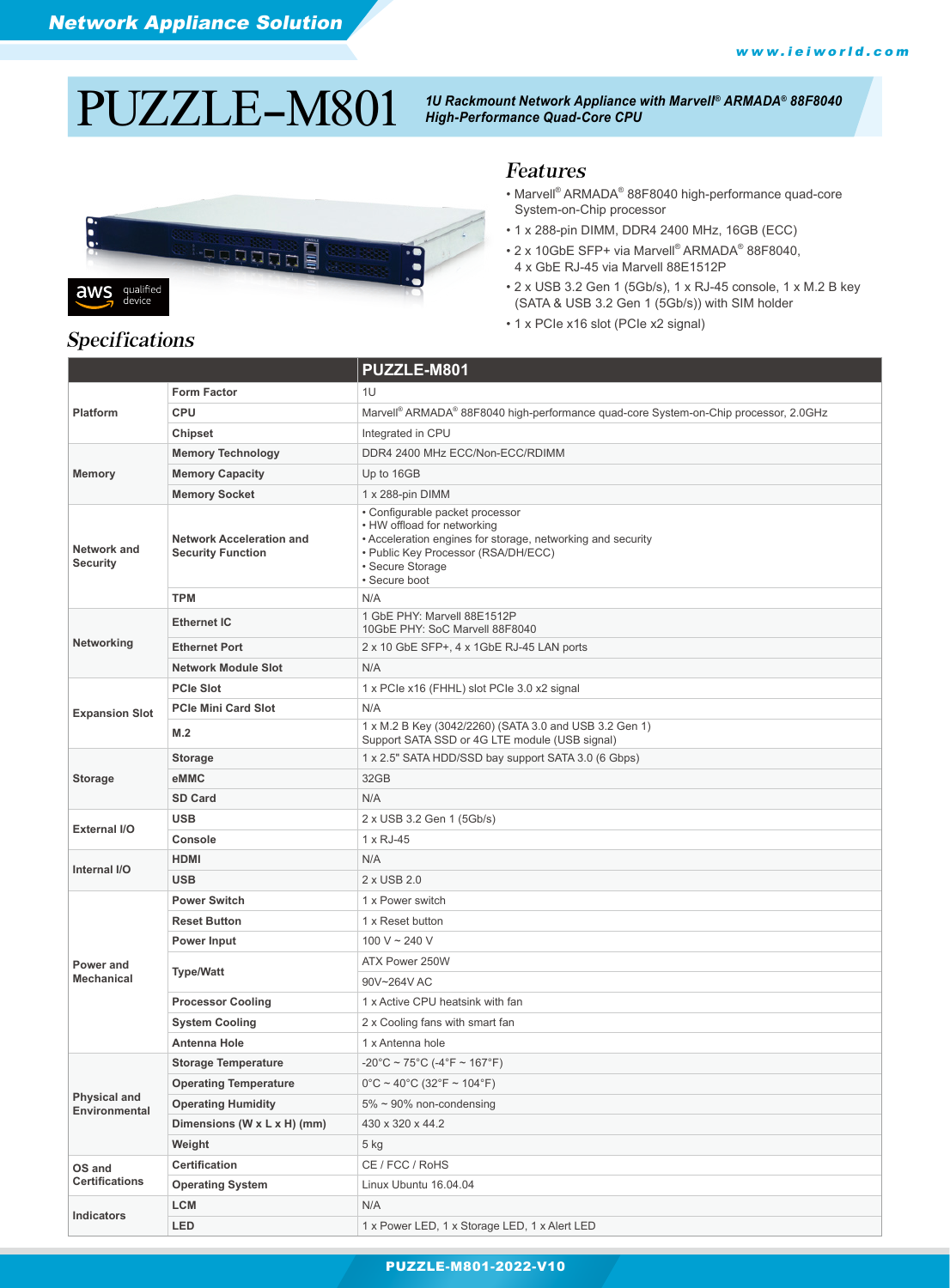# $\rm PULZLEL$   $\rm H4801$  <sup>10</sup> Rackmount Network Appliance with Marvell® ARMADA® 88F8040



### Features

- Marvell® ARMADA® 88F8040 high-performance quad-core System-on-Chip processor
- 1 x 288-pin DIMM, DDR4 2400 MHz, 16GB (ECC)
- 2 x 10GbE SFP+ via Marvell® ARMADA® 88F8040, 4 x GbE RJ-45 via Marvell 88E1512P
- 2 x USB 3.2 Gen 1 (5Gb/s), 1 x RJ-45 console, 1 x M.2 B key (SATA & USB 3.2 Gen 1 (5Gb/s)) with SIM holder
- 1 x PCIe x16 slot (PCIe x2 signal)

| <b>Platform</b>                      | <b>Form Factor</b>                                          | 1U                                                                                                                                                                                                        |  |
|--------------------------------------|-------------------------------------------------------------|-----------------------------------------------------------------------------------------------------------------------------------------------------------------------------------------------------------|--|
|                                      | <b>CPU</b>                                                  | Marvell® ARMADA® 88F8040 high-performance quad-core System-on-Chip processor, 2.0GHz                                                                                                                      |  |
|                                      | Chipset                                                     | Integrated in CPU                                                                                                                                                                                         |  |
| <b>Memory</b>                        | <b>Memory Technology</b>                                    | DDR4 2400 MHz ECC/Non-ECC/RDIMM                                                                                                                                                                           |  |
|                                      | <b>Memory Capacity</b>                                      | Up to 16GB                                                                                                                                                                                                |  |
|                                      | <b>Memory Socket</b>                                        | 1 x 288-pin DIMM                                                                                                                                                                                          |  |
| Network and<br><b>Security</b>       | <b>Network Acceleration and</b><br><b>Security Function</b> | • Configurable packet processor<br>• HW offload for networking<br>• Acceleration engines for storage, networking and security<br>• Public Key Processor (RSA/DH/ECC)<br>• Secure Storage<br>• Secure boot |  |
|                                      | <b>TPM</b>                                                  | N/A                                                                                                                                                                                                       |  |
|                                      | <b>Ethernet IC</b>                                          | 1 GbE PHY: Marvell 88E1512P<br>10GbE PHY: SoC Marvell 88F8040                                                                                                                                             |  |
| Networking                           | <b>Ethernet Port</b>                                        | 2 x 10 GbE SFP+, 4 x 1GbE RJ-45 LAN ports                                                                                                                                                                 |  |
|                                      | <b>Network Module Slot</b>                                  | N/A                                                                                                                                                                                                       |  |
|                                      | <b>PCIe Slot</b>                                            | 1 x PCIe x16 (FHHL) slot PCIe 3.0 x2 signal                                                                                                                                                               |  |
| <b>Expansion Slot</b>                | <b>PCIe Mini Card Slot</b>                                  | N/A                                                                                                                                                                                                       |  |
|                                      | M.2                                                         | 1 x M.2 B Key (3042/2260) (SATA 3.0 and USB 3.2 Gen 1)<br>Support SATA SSD or 4G LTE module (USB signal)                                                                                                  |  |
|                                      | <b>Storage</b>                                              | 1 x 2.5" SATA HDD/SSD bay support SATA 3.0 (6 Gbps)                                                                                                                                                       |  |
| <b>Storage</b>                       | eMMC                                                        | 32GB                                                                                                                                                                                                      |  |
|                                      | <b>SD Card</b>                                              | N/A                                                                                                                                                                                                       |  |
| External I/O                         | <b>USB</b>                                                  | 2 x USB 3.2 Gen 1 (5Gb/s)                                                                                                                                                                                 |  |
|                                      | Console                                                     | 1 x RJ-45                                                                                                                                                                                                 |  |
| Internal I/O                         | <b>HDMI</b>                                                 | N/A                                                                                                                                                                                                       |  |
|                                      | <b>USB</b>                                                  | 2 x USB 2.0                                                                                                                                                                                               |  |
|                                      | <b>Power Switch</b>                                         | 1 x Power switch                                                                                                                                                                                          |  |
|                                      | <b>Reset Button</b>                                         | 1 x Reset button                                                                                                                                                                                          |  |
|                                      | <b>Power Input</b>                                          | 100 V ~ 240 V                                                                                                                                                                                             |  |
| Power and                            | <b>Type/Watt</b>                                            | ATX Power 250W                                                                                                                                                                                            |  |
| <b>Mechanical</b>                    |                                                             | 90V~264V AC                                                                                                                                                                                               |  |
|                                      | <b>Processor Cooling</b>                                    | 1 x Active CPU heatsink with fan                                                                                                                                                                          |  |
|                                      | <b>System Cooling</b>                                       | 2 x Cooling fans with smart fan                                                                                                                                                                           |  |
|                                      | <b>Antenna Hole</b>                                         | 1 x Antenna hole                                                                                                                                                                                          |  |
|                                      | <b>Storage Temperature</b>                                  | -20°C ~ 75°C (-4°F ~ 167°F)                                                                                                                                                                               |  |
|                                      | <b>Operating Temperature</b>                                | $0^{\circ}$ C ~ 40°C (32°F ~ 104°F)                                                                                                                                                                       |  |
| <b>Physical and</b><br>Environmental | <b>Operating Humidity</b>                                   | $5\% \sim 90\%$ non-condensing                                                                                                                                                                            |  |
|                                      | Dimensions (W x L x H) (mm)                                 | 430 x 320 x 44.2                                                                                                                                                                                          |  |
|                                      | Weight                                                      | 5 kg                                                                                                                                                                                                      |  |
| OS and<br><b>Certifications</b>      | Certification                                               | CE / FCC / RoHS                                                                                                                                                                                           |  |
|                                      | <b>Operating System</b>                                     | Linux Ubuntu 16.04.04                                                                                                                                                                                     |  |
| Indicators                           | <b>LCM</b>                                                  | N/A                                                                                                                                                                                                       |  |
|                                      | LED                                                         | 1 x Power LED, 1 x Storage LED, 1 x Alert LED                                                                                                                                                             |  |

**PUZZLE-M904** 

# Specifications

#### PUZZLE-M801-2022-V10